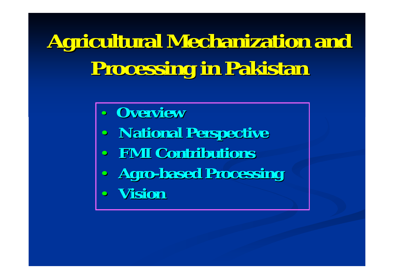# **Agricultural Mechanization and Processing in Pakistan Processing in Pakistan**

- $\bullet$ **Overview Overview**
- $\bullet$ **National Perspective National Perspective**
- $\bullet$ **FMI Contributions FMI Contributions**
- • **Agro -based Processing based Processing**  $\bullet$ 
	- **Vision**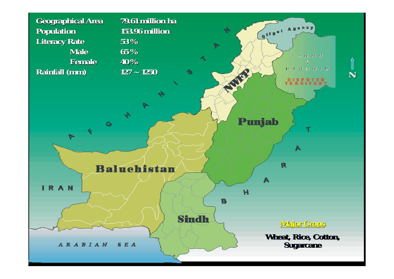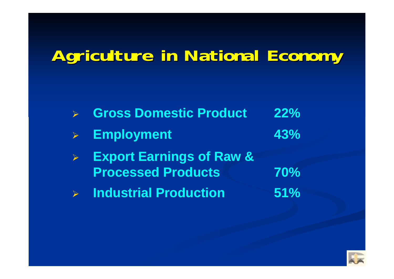# **Agriculture in National Economy Agriculture in National Economy**

|                       | Secrets Domestic Product                                         | 22%        |
|-----------------------|------------------------------------------------------------------|------------|
|                       | > Employment                                                     | 43%        |
| $\blacktriangleright$ | <b>Export Earnings of Raw &amp;</b><br><b>Processed Products</b> | <b>70%</b> |
|                       | <b>Detail Second Production</b>                                  | 51%        |

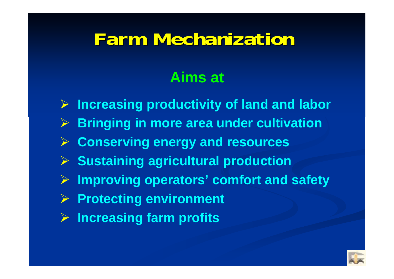# **Farm Mechanization Farm Mechanization**

## **Aims at**

- ¾ **Increasing productivity of land and labor**
- ¾ **Bringing in more area under cultivation**
- ¾ **Conserving energy and resources**
- ¾ **Sustaining agricultural production**
- ¾ **Improving operators' comfort and safety**
- ¾ **Protecting environment**
- ¾ **Increasing farm profits**

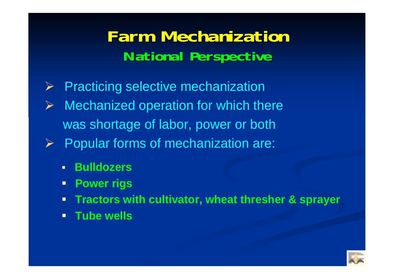# **Farm Mechanization Farm MechanizationNational Perspective National Perspective**

- $\blacktriangleright$ Practicing selective mechanization
- ¾ Mechanized operation for which there was shortage of labor, power or both
- ¾ Popular forms of mechanization are:
	- $\blacksquare$ **Bulldozers**
	- **Power rigs**
	- **Tractors with cultivator, wheat thresher & sprayer**
	- $\blacksquare$ **Tube wells**

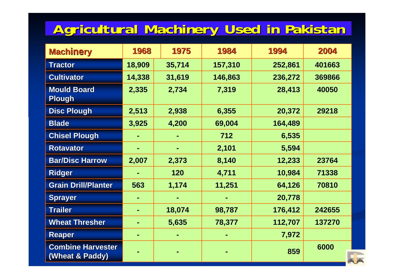## **Agricultural Machinery Used in Pakistan Agricultural Machinery Used in Pakistan**

| <b>Machinery</b>                            | 1968   | 1975   | 1984    | 1994    | 2004   |
|---------------------------------------------|--------|--------|---------|---------|--------|
| <b>Tractor</b>                              | 18,909 | 35,714 | 157,310 | 252,861 | 401663 |
| <b>Cultivator</b>                           | 14,338 | 31,619 | 146,863 | 236,272 | 369866 |
| <b>Mould Board</b><br><b>Plough</b>         | 2,335  | 2,734  | 7,319   | 28,413  | 40050  |
| <b>Disc Plough</b>                          | 2,513  | 2,938  | 6,355   | 20,372  | 29218  |
| <b>Blade</b>                                | 3,925  | 4,200  | 69,004  | 164,489 |        |
| <b>Chisel Plough</b>                        |        |        | 712     | 6,535   |        |
| <b>Rotavator</b>                            |        |        | 2,101   | 5,594   |        |
| <b>Bar/Disc Harrow</b>                      | 2,007  | 2,373  | 8,140   | 12,233  | 23764  |
| <b>Ridger</b>                               | ۰      | 120    | 4,711   | 10,984  | 71338  |
| <b>Grain Drill/Planter</b>                  | 563    | 1,174  | 11,251  | 64,126  | 70810  |
| <b>Sprayer</b>                              | ۰      |        |         | 20,778  |        |
| <b>Trailer</b>                              | ۰      | 18,074 | 98,787  | 176,412 | 242655 |
| <b>Wheat Thresher</b>                       |        | 5,635  | 78,377  | 112,707 | 137270 |
| <b>Reaper</b>                               | ۰      |        |         | 7,972   |        |
| <b>Combine Harvester</b><br>(Wheat & Paddy) |        |        |         | 859     | 6000   |

**A**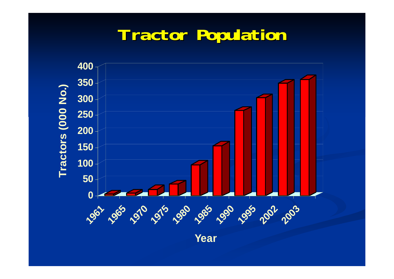# **Tractor Population Tractor Population**



**Ye a r**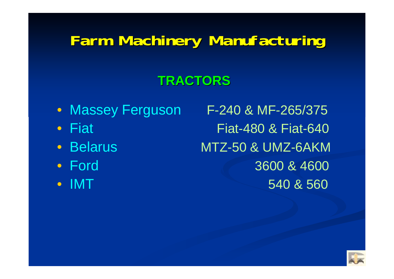## **Farm Machinery Manufacturing Farm Machinery Manufacturing**

## **TRACTORS TRACTORS**

- 
- Fiat
- Belarus
- Ford
- IMT

• Massey Ferguson F-240 & MF-265/375 Fiat Fiat-480 & Fiat-640 MTZ-50 & UMZ-6AKM 3600 & 4600 540 & 560

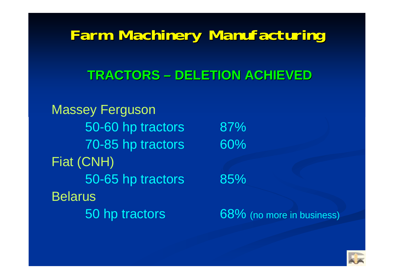## **Farm Machinery Manufacturing Farm Machinery Manufacturing**

#### **TRACTORS TRACTORS – DELETION ACHIEVED DELETION ACHIEVED**

Massey Ferguson 50-60 hp tractors 87% 70-85 hp tractors 60% Fiat (CNH) 50-65 hp tractors 85% Belarus50 hp tractors 68% (no more in business)

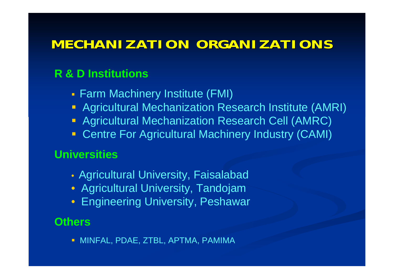## **MECHANIZATION ORGANIZATIONS MECHANIZATION ORGANIZATIONS**

#### **R & D Institutions**

- п Farm Machinery Institute (FMI)
- Agricultural Mechanization Research Institute (AMRI)
- **Agricultural Mechanization Research Cell (AMRC)**
- **Centre For Agricultural Machinery Industry (CAMI)**

#### **Universities**

- Agricultural University, Faisalabad
- Agricultural University, Tandojam
- Engineering University, Peshawar

#### **Others**

MINFAL, PDAE, ZTBL, APTMA, PAMIMA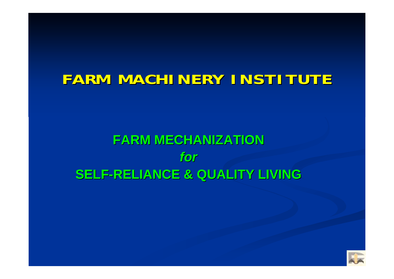## **FARM MACHINERY INSTITUTE FARM MACHINERY INSTITUTE**

## **FARM MECHANIZATION FARM MECHANIZATION***for***SELF -RELIANCE & QUALITY LIVING RELIANCE & QUALITY LIVING**

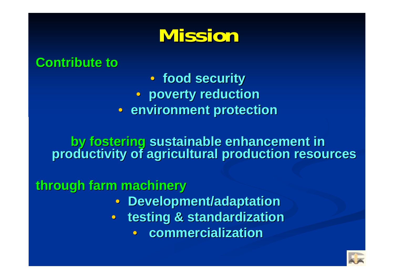# **Mission Mission**

#### **Contribute to Contribute to**

• **food security food security** • **poverty reduction poverty reduction**  • **environment protection environment protection**

**by fostering by fostering sustainable enhancement in sustainable enhancement in productivity of agricultural production resources productivity of agricultural production resources**

**through farm machinery through farm machinery**

- **Development/adaptation**
- $\bullet$  **testing & standardization testing & standardization**
	- **commercialization commercialization**

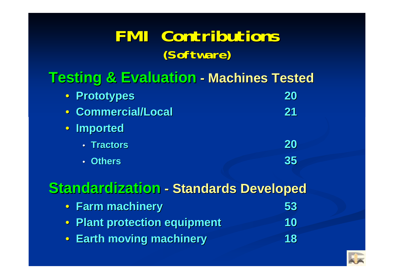## **FMI Contributions FMI Contributions(Software) (Software)**

#### **Testing & Evaluation Testing & Evaluation - Machines Tested Machines Tested**

| • Prototypes       | 20 |  |
|--------------------|----|--|
| • Commercial/Local | 21 |  |
| • Imported         |    |  |
| · Tractors         | 20 |  |
| • Others           | 35 |  |

#### **Standardization Standardization - Standards Developed**

|  |  | • Farm machinery |  | 53 |
|--|--|------------------|--|----|
|  |  |                  |  |    |

- $\bigcirc$ **Plant protection equipment Plant protection equipment 10**
- **Earth moving machinery Earth moving machinery 18**

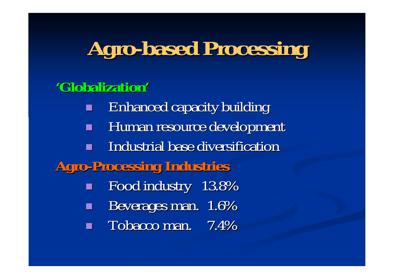# **Agro-based Processing based Processing**

### **'Globalization Globalization'**

Г Enhanced capacity building Enhanced capacity building Human resource development Industrial base diversification **Agro-Processing Industries Processing Industries** Food industry Food industry 13.8% Beverages man. 1.6% Tobacco man. 7.4%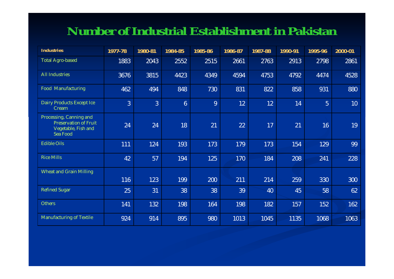#### **Number of Industrial Establishment in Pakistan**

| <b>Industries</b>                                                                          | 1977-78        | 1980-81 | 1984-85        | 1985-86 | 1986-87 | 1987-88 | 1990-91 | 1995-96        | 2000-01 |
|--------------------------------------------------------------------------------------------|----------------|---------|----------------|---------|---------|---------|---------|----------------|---------|
| <b>Total Agro-based</b>                                                                    | 1883           | 2043    | 2552           | 2515    | 2661    | 2763    | 2913    | 2798           | 2861    |
| <b>All Industries</b>                                                                      | 3676           | 3815    | 4423           | 4349    | 4594    | 4753    | 4792    | 4474           | 4528    |
| <b>Food Manufacturing</b>                                                                  | 462            | 494     | 848            | 730     | 831     | 822     | 858     | 931            | 880     |
| Dairy Products Except Ice<br>Cream                                                         | $\overline{3}$ | 3       | $6\phantom{1}$ | 9       | 12      | 12      | 14      | $\overline{5}$ | 10      |
| Processing, Canning and<br><b>Preservation of Fruit</b><br>Vegetable, Fish and<br>Sea Food | 24             | 24      | 18             | 21      | 22      | 17      | 21      | 16             | 19      |
| <b>Edible Oils</b>                                                                         | 111            | 124     | 193            | 173     | 179     | 173     | 154     | 129            | 99      |
| <b>Rice Mills</b>                                                                          | 42             | 57      | 194            | 125     | 170     | 184     | 208     | 241            | 228     |
| <b>Wheat and Grain Milling</b>                                                             |                |         |                |         |         |         |         |                |         |
|                                                                                            | 116            | 123     | 199            | 200     | 211     | 214     | 259     | 330            | 300     |
| <b>Refined Sugar</b>                                                                       | 25             | 31      | 38             | 38      | 39      | 40      | 45      | 58             | 62      |
| <b>Others</b>                                                                              | 141            | 132     | 198            | 164     | 198     | 182     | 157     | 152            | 162     |
| <b>Manufacturing of Textile</b>                                                            | 924            | 914     | 895            | 980     | 1013    | 1045    | 1135    | 1068           | 1063    |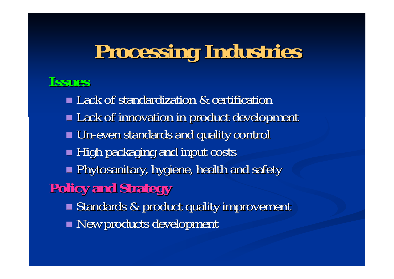# **Processing Industries Processing Industries**

### **Issues**

■ Lack of standardization & certification Lack of innovation in product development Lack of innovation in product development  $\blacksquare$  Un-even standards and quality control  $\blacksquare$  High packaging and input costs  $\blacksquare$  Phytosanitary, hygiene, health and safety , **Policy and Strategy Policy and Strategy** Standards & product quality improvement **New products development**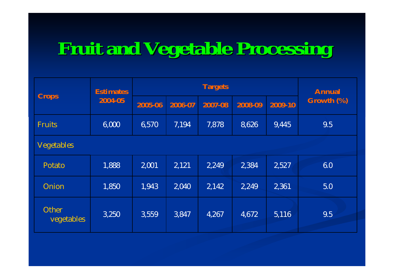# **Fruit and Vegetable Processing Fruit and Vegetable Processing**

|                     | <b>Estimates</b> |         | <b>Annual</b> |         |         |         |            |  |
|---------------------|------------------|---------|---------------|---------|---------|---------|------------|--|
| <b>Crops</b>        | 2004-05          | 2005-06 | 2006-07       | 2007-08 | 2008-09 | 2009-10 | Growth (%) |  |
| <b>Fruits</b>       | 6,000            | 6,570   | 7,194         | 7,878   | 8,626   | 9,445   | 9.5        |  |
| <b>Vegetables</b>   |                  |         |               |         |         |         |            |  |
| Potato              | 1,888            | 2,001   | 2,121         | 2,249   | 2,384   | 2,527   | 6.0        |  |
| Onion               | 1,850            | 1,943   | 2,040         | 2,142   | 2,249   | 2,361   | 5.0        |  |
| Other<br>vegetables | 3,250            | 3,559   | 3,847         | 4,267   | 4,672   | 5,116   | 9.5        |  |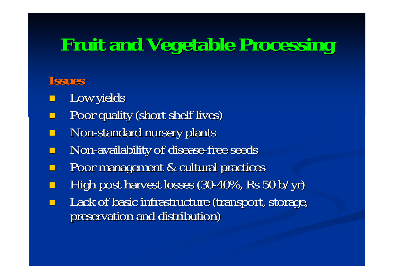# **Fruit and Vegetable Processing Fruit and Vegetable Processing**

#### **Issues**

- Low yields
- Poor quality (short shelf lives) Poor quality (short shelf lives)
- $\Box$ Non-standard nursery plants
- Non-availability of disease-free seeds
- Poor management & cultural practices
- High post harvest losses  $(30-40\% ,$  Rs 50 b/yr)
- Lack of basic infrastructure (transport, storage, preservation and distribution)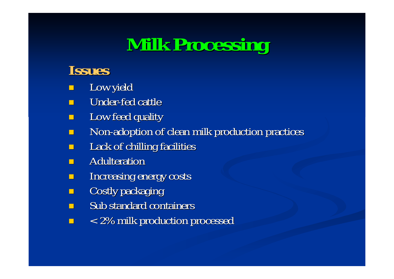# **Milk Processing Milk Processing**

### **Issues**

- $\mathbb{R}^2$ Low yield
- п Under-fed cattle
- П Low feed quality
- п Non-adoption of clean milk production practices
- $\blacksquare$ Lack of chilling facilities
- $\blacksquare$ Adulteration
- $\Box$ Increasing energy costs Increasing energy costs
- $\blacksquare$ Costly packaging
- $\blacksquare$ Sub standard containers
- $\blacksquare$ < 2% milk production processed < 2% milk production processed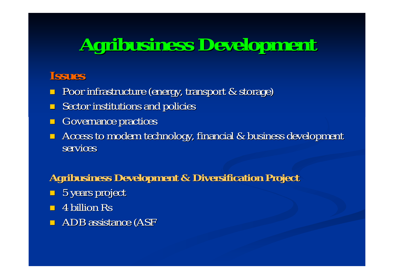# **Agribusiness Development Agribusiness Development**

#### **Issues**

- **Poor infrastructure (energy, transport & storage)**
- $\blacksquare$ Sector institutions and policies
- $\blacksquare$ Governance practices
- $\blacksquare$ Access to modern technology, financial & business development services

#### **Agribusiness Development & Diversification Project Agribusiness Development & Diversification Project**

- $\Box$  5 years project
- $\blacksquare$  4 billion Rs
- $\blacksquare$  ADB assistance (ASF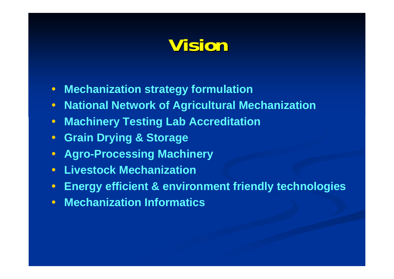# **Vision**

- $\bullet$ **Mechanization strategy formulation**
- $\bullet$ **National Network of Agricultural Mechanization**
- $\bullet$ **Machinery Testing Lab Accreditation**
- $\bullet$ **Grain Drying & Storage**
- $\bullet$ **Agro-Processing Machinery**
- $\bullet$ **Livestock Mechanization**
- $\bullet$ **Energy efficient & environment friendly technologies**
- **Mechanization Informatics**